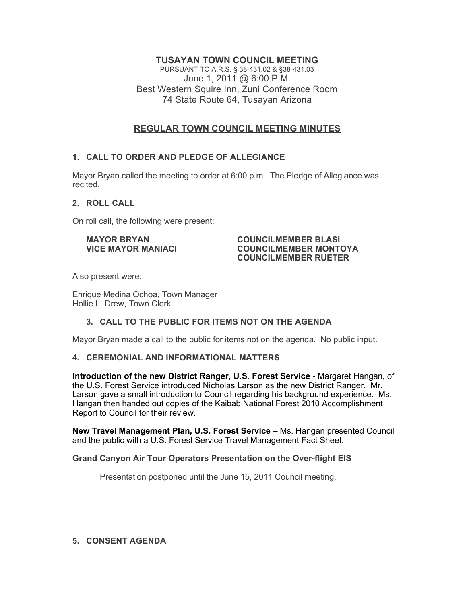# **TUSAYAN TOWN COUNCIL MEETING**

PURSUANT TO A.R.S. § 38-431.02 & §38-431.03 June 1, 2011 @ 6:00 P.M. Best Western Squire Inn, Zuni Conference Room 74 State Route 64, Tusayan Arizona

# **REGULAR TOWN COUNCIL MEETING MINUTES**

## **1. CALL TO ORDER AND PLEDGE OF ALLEGIANCE**

Mayor Bryan called the meeting to order at 6:00 p.m. The Pledge of Allegiance was recited.

## **2. ROLL CALL**

On roll call, the following were present:

#### **MAYOR BRYAN COUNCILMEMBER BLASI VICE MAYOR MANIACI COUNCILMEMBER MONTOYA COUNCILMEMBER RUETER**

Also present were:

Enrique Medina Ochoa, Town Manager Hollie L. Drew, Town Clerk

## **3. CALL TO THE PUBLIC FOR ITEMS NOT ON THE AGENDA**

Mayor Bryan made a call to the public for items not on the agenda. No public input.

## **4. CEREMONIAL AND INFORMATIONAL MATTERS**

**Introduction of the new District Ranger, U.S. Forest Service** - Margaret Hangan, of the U.S. Forest Service introduced Nicholas Larson as the new District Ranger. Mr. Larson gave a small introduction to Council regarding his background experience. Ms. Hangan then handed out copies of the Kaibab National Forest 2010 Accomplishment Report to Council for their review.

**New Travel Management Plan, U.S. Forest Service** – Ms. Hangan presented Council and the public with a U.S. Forest Service Travel Management Fact Sheet.

## **Grand Canyon Air Tour Operators Presentation on the Over-flight EIS**

Presentation postponed until the June 15, 2011 Council meeting.

## **5. CONSENT AGENDA**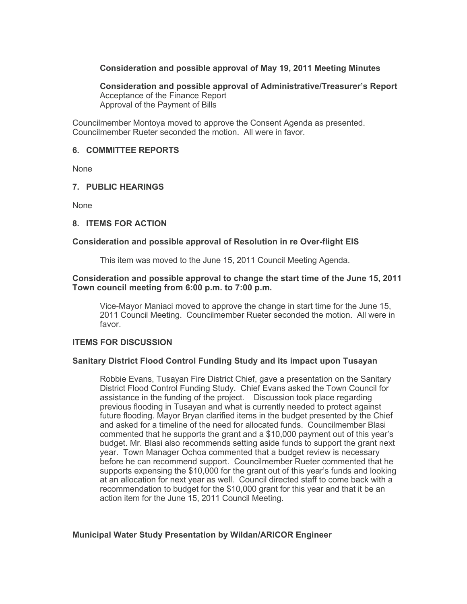## **Consideration and possible approval of May 19, 2011 Meeting Minutes**

**Consideration and possible approval of Administrative/Treasurer's Report** Acceptance of the Finance Report Approval of the Payment of Bills

Councilmember Montoya moved to approve the Consent Agenda as presented. Councilmember Rueter seconded the motion. All were in favor.

### **6. COMMITTEE REPORTS**

None

### **7. PUBLIC HEARINGS**

None

### **8. ITEMS FOR ACTION**

## **Consideration and possible approval of Resolution in re Over-flight EIS**

This item was moved to the June 15, 2011 Council Meeting Agenda.

### **Consideration and possible approval to change the start time of the June 15, 2011 Town council meeting from 6:00 p.m. to 7:00 p.m.**

Vice-Mayor Maniaci moved to approve the change in start time for the June 15, 2011 Council Meeting. Councilmember Rueter seconded the motion. All were in favor.

## **ITEMS FOR DISCUSSION**

## **Sanitary District Flood Control Funding Study and its impact upon Tusayan**

Robbie Evans, Tusayan Fire District Chief, gave a presentation on the Sanitary District Flood Control Funding Study. Chief Evans asked the Town Council for assistance in the funding of the project. Discussion took place regarding previous flooding in Tusayan and what is currently needed to protect against future flooding. Mayor Bryan clarified items in the budget presented by the Chief and asked for a timeline of the need for allocated funds. Councilmember Blasi commented that he supports the grant and a \$10,000 payment out of this year's budget. Mr. Blasi also recommends setting aside funds to support the grant next year. Town Manager Ochoa commented that a budget review is necessary before he can recommend support. Councilmember Rueter commented that he supports expensing the \$10,000 for the grant out of this year's funds and looking at an allocation for next year as well. Council directed staff to come back with a recommendation to budget for the \$10,000 grant for this year and that it be an action item for the June 15, 2011 Council Meeting.

## **Municipal Water Study Presentation by Wildan/ARICOR Engineer**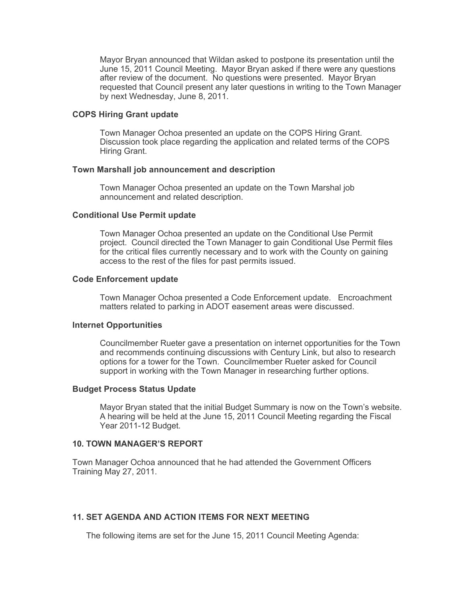Mayor Bryan announced that Wildan asked to postpone its presentation until the June 15, 2011 Council Meeting. Mayor Bryan asked if there were any questions after review of the document. No questions were presented. Mayor Bryan requested that Council present any later questions in writing to the Town Manager by next Wednesday, June 8, 2011.

### **COPS Hiring Grant update**

Town Manager Ochoa presented an update on the COPS Hiring Grant. Discussion took place regarding the application and related terms of the COPS Hiring Grant.

### **Town Marshall job announcement and description**

Town Manager Ochoa presented an update on the Town Marshal job announcement and related description.

### **Conditional Use Permit update**

Town Manager Ochoa presented an update on the Conditional Use Permit project. Council directed the Town Manager to gain Conditional Use Permit files for the critical files currently necessary and to work with the County on gaining access to the rest of the files for past permits issued.

### **Code Enforcement update**

Town Manager Ochoa presented a Code Enforcement update. Encroachment matters related to parking in ADOT easement areas were discussed.

### **Internet Opportunities**

Councilmember Rueter gave a presentation on internet opportunities for the Town and recommends continuing discussions with Century Link, but also to research options for a tower for the Town. Councilmember Rueter asked for Council support in working with the Town Manager in researching further options.

#### **Budget Process Status Update**

Mayor Bryan stated that the initial Budget Summary is now on the Town's website. A hearing will be held at the June 15, 2011 Council Meeting regarding the Fiscal Year 2011-12 Budget.

#### **10. TOWN MANAGER'S REPORT**

Town Manager Ochoa announced that he had attended the Government Officers Training May 27, 2011.

## **11. SET AGENDA AND ACTION ITEMS FOR NEXT MEETING**

The following items are set for the June 15, 2011 Council Meeting Agenda: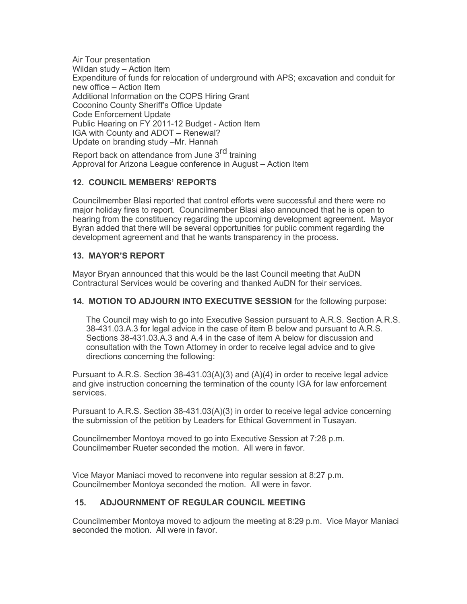Air Tour presentation Wildan study – Action Item Expenditure of funds for relocation of underground with APS; excavation and conduit for new office – Action Item Additional Information on the COPS Hiring Grant Coconino County Sheriff's Office Update Code Enforcement Update Public Hearing on FY 2011-12 Budget - Action Item IGA with County and ADOT – Renewal? Update on branding study –Mr. Hannah

Report back on attendance from June 3<sup>rd</sup> training Approval for Arizona League conference in August – Action Item

## **12. COUNCIL MEMBERS' REPORTS**

Councilmember Blasi reported that control efforts were successful and there were no major holiday fires to report. Councilmember Blasi also announced that he is open to hearing from the constituency regarding the upcoming development agreement. Mayor Byran added that there will be several opportunities for public comment regarding the development agreement and that he wants transparency in the process.

## **13. MAYOR'S REPORT**

Mayor Bryan announced that this would be the last Council meeting that AuDN Contractural Services would be covering and thanked AuDN for their services.

## **14. MOTION TO ADJOURN INTO EXECUTIVE SESSION** for the following purpose:

The Council may wish to go into Executive Session pursuant to A.R.S. Section A.R.S. 38-431.03.A.3 for legal advice in the case of item B below and pursuant to A.R.S. Sections 38-431.03.A.3 and A.4 in the case of item A below for discussion and consultation with the Town Attorney in order to receive legal advice and to give directions concerning the following:

Pursuant to A.R.S. Section 38-431.03(A)(3) and (A)(4) in order to receive legal advice and give instruction concerning the termination of the county IGA for law enforcement services.

Pursuant to A.R.S. Section 38-431.03(A)(3) in order to receive legal advice concerning the submission of the petition by Leaders for Ethical Government in Tusayan.

Councilmember Montoya moved to go into Executive Session at 7:28 p.m. Councilmember Rueter seconded the motion. All were in favor.

Vice Mayor Maniaci moved to reconvene into regular session at 8:27 p.m. Councilmember Montoya seconded the motion. All were in favor.

## **15. ADJOURNMENT OF REGULAR COUNCIL MEETING**

Councilmember Montoya moved to adjourn the meeting at 8:29 p.m. Vice Mayor Maniaci seconded the motion. All were in favor.